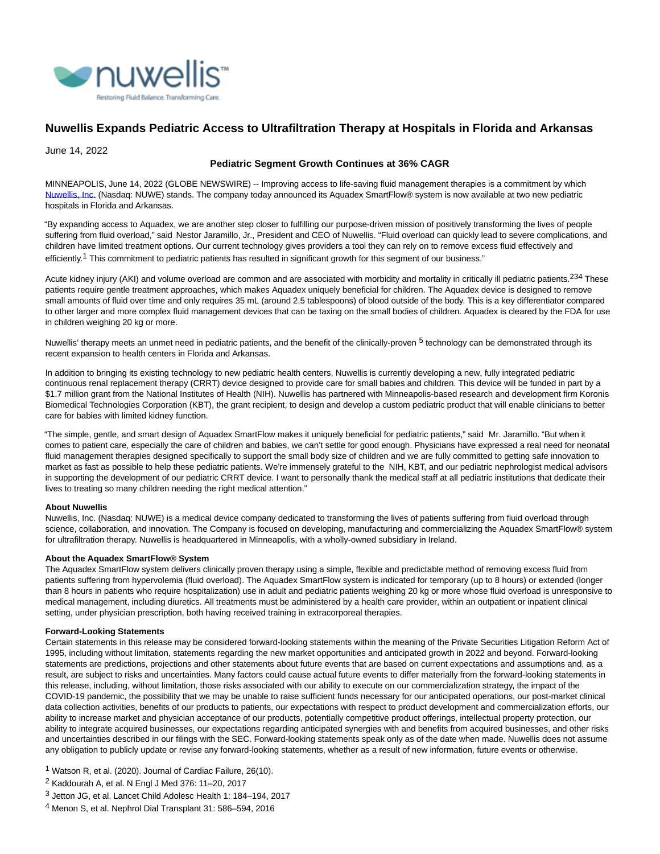

# **Nuwellis Expands Pediatric Access to Ultrafiltration Therapy at Hospitals in Florida and Arkansas**

June 14, 2022

## **Pediatric Segment Growth Continues at 36% CAGR**

MINNEAPOLIS, June 14, 2022 (GLOBE NEWSWIRE) -- Improving access to life-saving fluid management therapies is a commitment by which [Nuwellis, Inc. \(](https://www.globenewswire.com/Tracker?data=Ci47Bemn-SPS5m9bp5aygNK9iLmUtyMA4Eok8_jOzIf4_BYZxo-3wKNy5J3y0yfT7v3-ohr2SwSZY_hRlpHbMA==)Nasdaq: NUWE) stands. The company today announced its Aquadex SmartFlow® system is now available at two new pediatric hospitals in Florida and Arkansas.

"By expanding access to Aquadex, we are another step closer to fulfilling our purpose-driven mission of positively transforming the lives of people suffering from fluid overload," said Nestor Jaramillo, Jr., President and CEO of Nuwellis. "Fluid overload can quickly lead to severe complications, and children have limited treatment options. Our current technology gives providers a tool they can rely on to remove excess fluid effectively and efficiently.<sup>1</sup> This commitment to pediatric patients has resulted in significant growth for this segment of our business."

Acute kidney injury (AKI) and volume overload are common and are associated with morbidity and mortality in critically ill pediatric patients.<sup>234</sup> These patients require gentle treatment approaches, which makes Aquadex uniquely beneficial for children. The Aquadex device is designed to remove small amounts of fluid over time and only requires 35 mL (around 2.5 tablespoons) of blood outside of the body. This is a key differentiator compared to other larger and more complex fluid management devices that can be taxing on the small bodies of children. Aquadex is cleared by the FDA for use in children weighing 20 kg or more.

Nuwellis' therapy meets an unmet need in pediatric patients, and the benefit of the clinically-proven <sup>5</sup> technology can be demonstrated through its recent expansion to health centers in Florida and Arkansas.

In addition to bringing its existing technology to new pediatric health centers, Nuwellis is currently developing a new, fully integrated pediatric continuous renal replacement therapy (CRRT) device designed to provide care for small babies and children. This device will be funded in part by a \$1.7 million grant from the National Institutes of Health (NIH). Nuwellis has partnered with Minneapolis-based research and development firm Koronis Biomedical Technologies Corporation (KBT), the grant recipient, to design and develop a custom pediatric product that will enable clinicians to better care for babies with limited kidney function.

"The simple, gentle, and smart design of Aquadex SmartFlow makes it uniquely beneficial for pediatric patients," said Mr. Jaramillo. "But when it comes to patient care, especially the care of children and babies, we can't settle for good enough. Physicians have expressed a real need for neonatal fluid management therapies designed specifically to support the small body size of children and we are fully committed to getting safe innovation to market as fast as possible to help these pediatric patients. We're immensely grateful to the NIH, KBT, and our pediatric nephrologist medical advisors in supporting the development of our pediatric CRRT device. I want to personally thank the medical staff at all pediatric institutions that dedicate their lives to treating so many children needing the right medical attention."

### **About Nuwellis**

Nuwellis, Inc. (Nasdaq: NUWE) is a medical device company dedicated to transforming the lives of patients suffering from fluid overload through science, collaboration, and innovation. The Company is focused on developing, manufacturing and commercializing the Aquadex SmartFlow® system for ultrafiltration therapy. Nuwellis is headquartered in Minneapolis, with a wholly-owned subsidiary in Ireland.

### **About the Aquadex SmartFlow® System**

The Aquadex SmartFlow system delivers clinically proven therapy using a simple, flexible and predictable method of removing excess fluid from patients suffering from hypervolemia (fluid overload). The Aquadex SmartFlow system is indicated for temporary (up to 8 hours) or extended (longer than 8 hours in patients who require hospitalization) use in adult and pediatric patients weighing 20 kg or more whose fluid overload is unresponsive to medical management, including diuretics. All treatments must be administered by a health care provider, within an outpatient or inpatient clinical setting, under physician prescription, both having received training in extracorporeal therapies.

### **Forward-Looking Statements**

Certain statements in this release may be considered forward-looking statements within the meaning of the Private Securities Litigation Reform Act of 1995, including without limitation, statements regarding the new market opportunities and anticipated growth in 2022 and beyond. Forward-looking statements are predictions, projections and other statements about future events that are based on current expectations and assumptions and, as a result, are subject to risks and uncertainties. Many factors could cause actual future events to differ materially from the forward-looking statements in this release, including, without limitation, those risks associated with our ability to execute on our commercialization strategy, the impact of the COVID-19 pandemic, the possibility that we may be unable to raise sufficient funds necessary for our anticipated operations, our post-market clinical data collection activities, benefits of our products to patients, our expectations with respect to product development and commercialization efforts, our ability to increase market and physician acceptance of our products, potentially competitive product offerings, intellectual property protection, our ability to integrate acquired businesses, our expectations regarding anticipated synergies with and benefits from acquired businesses, and other risks and uncertainties described in our filings with the SEC. Forward-looking statements speak only as of the date when made. Nuwellis does not assume any obligation to publicly update or revise any forward-looking statements, whether as a result of new information, future events or otherwise.

- 1 Watson R, et al. (2020). Journal of Cardiac Failure, 26(10).
- 2 Kaddourah A, et al. N Engl J Med 376: 11–20, 2017
- 3 Jetton JG, et al. Lancet Child Adolesc Health 1: 184–194, 2017
- 4 Menon S, et al. Nephrol Dial Transplant 31: 586–594, 2016